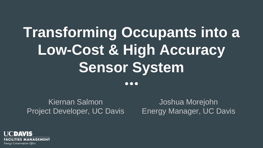## **Transforming Occupants into a Low-Cost & High Accuracy Sensor System**

 $\bullet\bullet\bullet$ 

Kiernan Salmon Project Developer, UC Davis

Joshua Morejohn Energy Manager, UC Davis

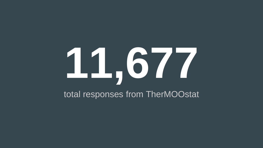# **11,677**

#### total responses from TherMOOstat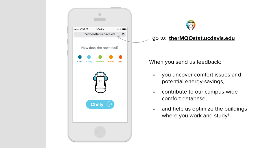



#### go to: therMOOstat.ucdavis.edu

When you send us feedback:

- you uncover comfort issues and potential energy-savings,
- contribute to our campus-wide  $\bullet$ comfort database,
- and help us optimize the buildings  $\bullet$ where you work and study!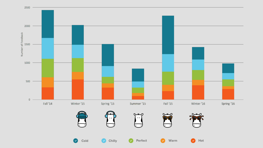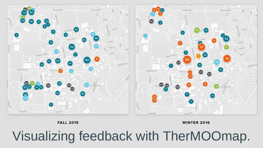

**FALL 2015** 

**WINTER 2016** 

## Visualizing feedback with TherMOOmap.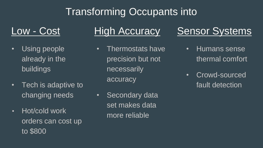## Transforming Occupants into

#### Low - Cost

- Using people already in the buildings
- Tech is adaptive to changing needs
- Hot/cold work orders can cost up to \$800

#### **High Accuracy**

- Thermostats have precision but not necessarily accuracy
- Secondary data set makes data more reliable

### **Sensor Systems**

- Humans sense thermal comfort
- Crowd-sourced fault detection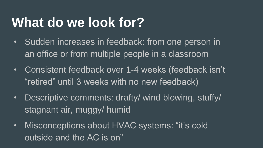## **What do we look for?**

- Sudden increases in feedback: from one person in an office or from multiple people in a classroom
- Consistent feedback over 1-4 weeks (feedback isn't "retired" until 3 weeks with no new feedback)
- Descriptive comments: drafty/ wind blowing, stuffy/ stagnant air, muggy/ humid
- Misconceptions about HVAC systems: "it's cold outside and the AC is on"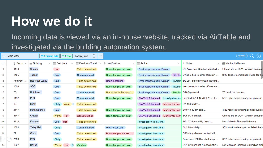## **How we do it**

Incoming data is viewed via an in-house website, tracked via AirTable and investigated via the building automation system.

|                | $\vee$ Main View | $\boxplus$ 1 hidden field         | $\nabla$ 1 filter | û<br>1 Apply sort<br>000 |                                             |                                                  |                                    | <b>SHARE</b>                            |
|----------------|------------------|-----------------------------------|-------------------|--------------------------|---------------------------------------------|--------------------------------------------------|------------------------------------|-----------------------------------------|
| □              | A Room           | $\equiv$ Building<br>$\checkmark$ | 三 Feedback        | Feedback Trend           | $\boxed{\vee}$ Verification<br>$\checkmark$ | $\mathbf{R}$ Action<br>$\checkmark$              | $\equiv$ Notes<br>$\checkmark$     | 里 Mechanical Notes                      |
|                | 3149             | Ghausi                            | Hot               | To be determined         | Room temp at set point                      | Email response from Kiernan                      | 6/8 As of now Doc has adjusted     | Offices are on DCV - when in occupa     |
| $\overline{2}$ | 1405             | Tupper                            | Cold              | Consistent cold          | Room temp at set point                      | Email response from Kiernan<br>Site Vis          | Office is tied to other offices in | 3/28 Tupper complained it was too he    |
| 3              | Rec Pool         | <b>Rec Pool Lodge</b>             | Cold              | To be determined         | Room not found                              | Email response from Kiernan<br>Investic          | 6/9 2:41 pm chilly (room labeled   |                                         |
| 4              | 1003             | <b>SCC</b>                        | Cold              | To be determined         | Room temp at set point                      | Email response from Kiernan<br>Investic          | VAV boxes in smaller offices are   |                                         |
| 5              | 73               | Hutchison                         | Cold              | Consistent cold          | Not visible in Siemens/                     | Email response from Kiernan<br>Resolve           | 5/26 5 pm cold                     | 73 has local controls                   |
| 6              | 1137             | <b>PES</b>                        | Cold              | Consistent cold          | Room temp at set point                      | <b>Site Visit Scheduled</b><br>Investigation fro | Site Visit: 5/11 12:40-1:20 - GIS  | 5/18 John raises heating set points in  |
| 7              | 12               | Mrak                              | Chilly<br>Warm    | To be determined         |                                             | <b>Site Visit Scheduled</b><br>Monitor for trend | 6/1 1:20 chilly                    |                                         |
| 8              | 3117             | <b>Math Science</b>               | Cold              | To be determined         | Room temp at set point                      | <b>Site Visit Scheduled</b><br>Monitor for trend | 6/10 10:49 am cold                 | 4/28 rooms registering as unoccupied    |
| 9              | 3147             | Ghausi                            | Warm Hot          | Consistent hot           | Room temp at set point                      | <b>Site Visit Scheduled</b><br>Monitor for trend | 5/25 9:34 am hot                   | Offices are on DCV - when in occupa     |
| 10             | 2110             | Kemper                            | Cold<br>Hot       | To be determined         |                                             | Investigation from John                          | 5/31 7:35 pm chilly "moo"          | Not visible in Siemens/Johnson          |
| 11             | 1020             | <b>Valley Hall</b>                | Chilly            | Consistent cold          | Work order open                             | Investigation from John                          | 5/12 9 am chilly                   | 3/24 Work orders open for failed then   |
| 12             | 27               | Olson                             | Cold              | To be determined         | Room temp not at set                        | Investigation from John                          | 5/25 shops haven't looked at it    |                                         |
|                | ⊘<br>2308        | <b>PES</b>                        | Chilly            | To be determined         | Room temp at set point                      | Investigation from John                          | From John: BMS control shop        | 5/18 John raises heating set points in  |
| 14             | 1227             | Haring                            | Warm<br>C)<br>Hot | Variable                 | Room temp at set point                      | Investigation from John                          | 5/31 3:10 pm hot "Soooo hot in     | Not visible in Siemens \$90 million pro |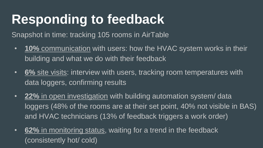## **Responding to feedback**

Snapshot in time: tracking 105 rooms in AirTable

- **10%** communication with users: how the HVAC system works in their building and what we do with their feedback
- **6%** site visits: interview with users, tracking room temperatures with data loggers, confirming results
- **22%** in open investigation with building automation system/ data loggers (48% of the rooms are at their set point, 40% not visible in BAS) and HVAC technicians (13% of feedback triggers a work order)
- **62%** in monitoring status, waiting for a trend in the feedback (consistently hot/ cold)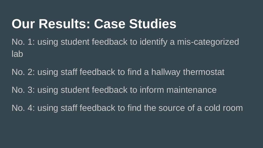## **Our Results: Case Studies**

No. 1: using student feedback to identify a mis-categorized lab

No. 2: using staff feedback to find a hallway thermostat No. 3: using student feedback to inform maintenance No. 4: using staff feedback to find the source of a cold room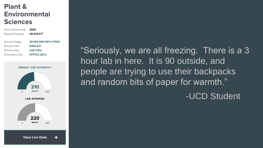#### Plant & **Environmental Sciences**

Year Constructed: 2002 141.214 FT<sup>2</sup> Square Footage: Annual Usage: 29,654,940 KBTU/YEAR Annual Cost: \$365.221 Primary Use: LAB (78%) Secondary Use: **OFFICE (20%)** 

#### **ENERGY USE INTENSITY**



"Seriously, we are all freezing. There is a 3 hour lab in here. It is 90 outside, and people are trying to use their backpacks and random bits of paper for warmth."

-UCD Student

**View Live Data**  $\rightarrow$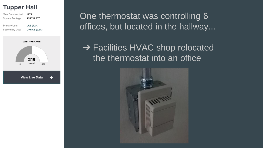#### **Tupper Hall**



One thermostat was controlling 6 offices, but located in the hallway...

**→ Facilities HVAC shop relocated** the thermostat into an office

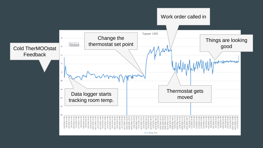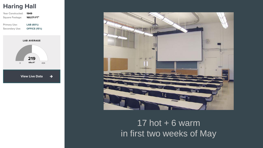#### **Haring Hall**

| Year Constructed:              | 1949                             |  |  |  |
|--------------------------------|----------------------------------|--|--|--|
| Square Footage:                | 160,171 FT <sup>2</sup>          |  |  |  |
| Primary Use:<br>Secondary Use: | LAB (60%)<br><b>OFFICE (15%)</b> |  |  |  |
| <b>LAB AVERAGE</b>             |                                  |  |  |  |
|                                |                                  |  |  |  |



**View Live Data** 

 $\rightarrow$ 



#### 17 hot  $+6$  warm in first two weeks of May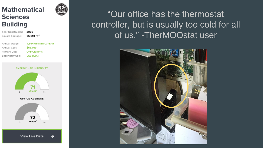#### **Mathematical Sciences Building**

| ear Constructed: | 2005                   |
|------------------|------------------------|
| Square Footage:  | 65,691 FT <sup>2</sup> |
|                  |                        |
| Annual Usage:    | 4,664,061 KBTU/YEAR    |
| Annual Cost:     | \$63,019               |
| Primary Use:     | <b>OFFICE (84%)</b>    |
| Secondary Use:   | LAB (12%)              |
|                  |                        |

**ENERGY USE INTENSITY** 





"Our office has the thermostat controller, but is usually too cold for all of us." -TherMOOstat user

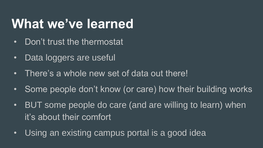## **What we've learned**

- Don't trust the thermostat
- Data loggers are useful
- There's a whole new set of data out there!
- Some people don't know (or care) how their building works
- BUT some people do care (and are willing to learn) when it's about their comfort
- Using an existing campus portal is a good idea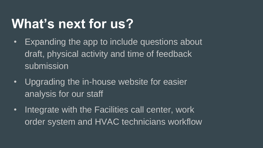## **What's next for us?**

- Expanding the app to include questions about draft, physical activity and time of feedback submission
- Upgrading the in-house website for easier analysis for our staff
- Integrate with the Facilities call center, work order system and HVAC technicians workflow